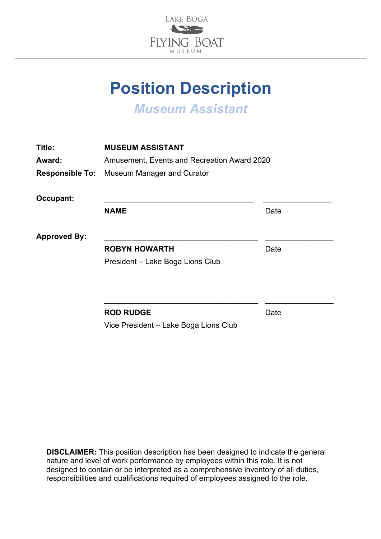

# **Position Description**

*Museum Assistant*

| Title:              | <b>MUSEUM ASSISTANT</b>                           |      |
|---------------------|---------------------------------------------------|------|
| Award:              | Amusement, Events and Recreation Award 2020       |      |
|                     | <b>Responsible To:</b> Museum Manager and Curator |      |
| Occupant:           |                                                   |      |
|                     | <b>NAME</b>                                       | Date |
| <b>Approved By:</b> |                                                   |      |
|                     | <b>ROBYN HOWARTH</b>                              | Date |
|                     | President - Lake Boga Lions Club                  |      |
|                     |                                                   |      |
|                     | <b>ROD RUDGE</b>                                  | Date |

Vice President – Lake Boga Lions Club

**DISCLAIMER:** This position description has been designed to indicate the general nature and level of work performance by employees within this role. It is not designed to contain or be interpreted as a comprehensive inventory of all duties, responsibilities and qualifications required of employees assigned to the role.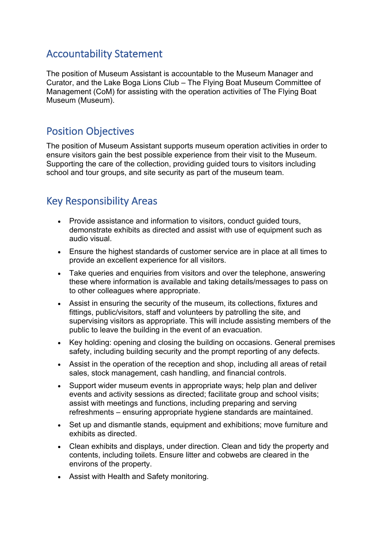# Accountability Statement

The position of Museum Assistant is accountable to the Museum Manager and Curator, and the Lake Boga Lions Club – The Flying Boat Museum Committee of Management (CoM) for assisting with the operation activities of The Flying Boat Museum (Museum).

## Position Objectives

The position of Museum Assistant supports museum operation activities in order to ensure visitors gain the best possible experience from their visit to the Museum. Supporting the care of the collection, providing guided tours to visitors including school and tour groups, and site security as part of the museum team.

# Key Responsibility Areas

- Provide assistance and information to visitors, conduct guided tours, demonstrate exhibits as directed and assist with use of equipment such as audio visual.
- Ensure the highest standards of customer service are in place at all times to provide an excellent experience for all visitors.
- Take queries and enquiries from visitors and over the telephone, answering these where information is available and taking details/messages to pass on to other colleagues where appropriate.
- Assist in ensuring the security of the museum, its collections, fixtures and fittings, public/visitors, staff and volunteers by patrolling the site, and supervising visitors as appropriate. This will include assisting members of the public to leave the building in the event of an evacuation.
- Key holding: opening and closing the building on occasions. General premises safety, including building security and the prompt reporting of any defects.
- Assist in the operation of the reception and shop, including all areas of retail sales, stock management, cash handling, and financial controls.
- Support wider museum events in appropriate ways; help plan and deliver events and activity sessions as directed; facilitate group and school visits; assist with meetings and functions, including preparing and serving refreshments – ensuring appropriate hygiene standards are maintained.
- Set up and dismantle stands, equipment and exhibitions; move furniture and exhibits as directed.
- Clean exhibits and displays, under direction. Clean and tidy the property and contents, including toilets. Ensure litter and cobwebs are cleared in the environs of the property.
- Assist with Health and Safety monitoring.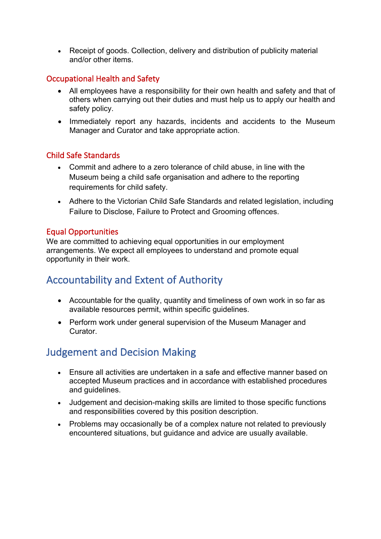• Receipt of goods. Collection, delivery and distribution of publicity material and/or other items.

## Occupational Health and Safety

- All employees have a responsibility for their own health and safety and that of others when carrying out their duties and must help us to apply our health and safety policy.
- Immediately report any hazards, incidents and accidents to the Museum Manager and Curator and take appropriate action.

## Child Safe Standards

- Commit and adhere to a zero tolerance of child abuse, in line with the Museum being a child safe organisation and adhere to the reporting requirements for child safety.
- Adhere to the Victorian Child Safe Standards and related legislation, including Failure to Disclose, Failure to Protect and Grooming offences.

## Equal Opportunities

We are committed to achieving equal opportunities in our employment arrangements. We expect all employees to understand and promote equal opportunity in their work.

# Accountability and Extent of Authority

- Accountable for the quality, quantity and timeliness of own work in so far as available resources permit, within specific guidelines.
- Perform work under general supervision of the Museum Manager and Curator.

# Judgement and Decision Making

- Ensure all activities are undertaken in a safe and effective manner based on accepted Museum practices and in accordance with established procedures and guidelines.
- Judgement and decision-making skills are limited to those specific functions and responsibilities covered by this position description.
- Problems may occasionally be of a complex nature not related to previously encountered situations, but guidance and advice are usually available.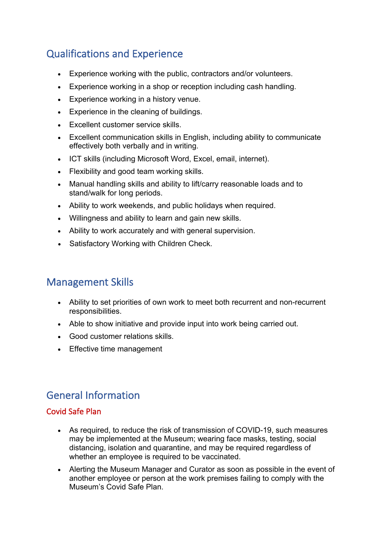# Qualifications and Experience

- Experience working with the public, contractors and/or volunteers.
- Experience working in a shop or reception including cash handling.
- Experience working in a history venue.
- Experience in the cleaning of buildings.
- Excellent customer service skills.
- Excellent communication skills in English, including ability to communicate effectively both verbally and in writing.
- ICT skills (including Microsoft Word, Excel, email, internet).
- Flexibility and good team working skills.
- Manual handling skills and ability to lift/carry reasonable loads and to stand/walk for long periods.
- Ability to work weekends, and public holidays when required.
- Willingness and ability to learn and gain new skills.
- Ability to work accurately and with general supervision.
- Satisfactory Working with Children Check.

## Management Skills

- Ability to set priorities of own work to meet both recurrent and non-recurrent responsibilities.
- Able to show initiative and provide input into work being carried out.
- Good customer relations skills.
- Effective time management

# General Information

### Covid Safe Plan

- As required, to reduce the risk of transmission of COVID-19, such measures may be implemented at the Museum; wearing face masks, testing, social distancing, isolation and quarantine, and may be required regardless of whether an employee is required to be vaccinated.
- Alerting the Museum Manager and Curator as soon as possible in the event of another employee or person at the work premises failing to comply with the Museum's Covid Safe Plan.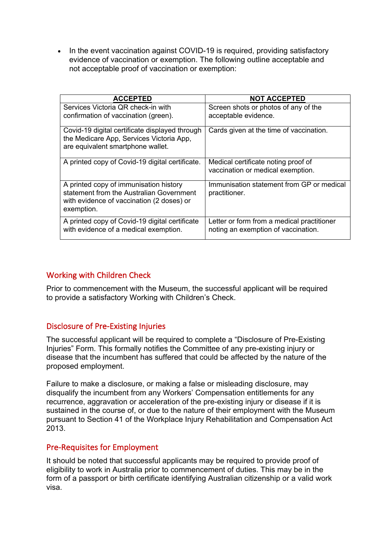• In the event vaccination against COVID-19 is required, providing satisfactory evidence of vaccination or exemption. The following outline acceptable and not acceptable proof of vaccination or exemption:

| <b>ACCEPTED</b>                                                                                                                               | <b>NOT ACCEPTED</b>                                                               |
|-----------------------------------------------------------------------------------------------------------------------------------------------|-----------------------------------------------------------------------------------|
| Services Victoria QR check-in with<br>confirmation of vaccination (green).                                                                    | Screen shots or photos of any of the<br>acceptable evidence.                      |
| Covid-19 digital certificate displayed through<br>the Medicare App, Services Victoria App,<br>are equivalent smartphone wallet.               | Cards given at the time of vaccination.                                           |
| A printed copy of Covid-19 digital certificate.                                                                                               | Medical certificate noting proof of<br>vaccination or medical exemption.          |
| A printed copy of immunisation history<br>statement from the Australian Government<br>with evidence of vaccination (2 doses) or<br>exemption. | Immunisation statement from GP or medical<br>practitioner.                        |
| A printed copy of Covid-19 digital certificate<br>with evidence of a medical exemption.                                                       | Letter or form from a medical practitioner<br>noting an exemption of vaccination. |

## Working with Children Check

Prior to commencement with the Museum, the successful applicant will be required to provide a satisfactory Working with Children's Check.

### Disclosure of Pre-Existing Injuries

The successful applicant will be required to complete a "Disclosure of Pre-Existing Injuries" Form. This formally notifies the Committee of any pre-existing injury or disease that the incumbent has suffered that could be affected by the nature of the proposed employment.

Failure to make a disclosure, or making a false or misleading disclosure, may disqualify the incumbent from any Workers' Compensation entitlements for any recurrence, aggravation or acceleration of the pre-existing injury or disease if it is sustained in the course of, or due to the nature of their employment with the Museum pursuant to Section 41 of the Workplace Injury Rehabilitation and Compensation Act 2013.

#### Pre-Requisites for Employment

It should be noted that successful applicants may be required to provide proof of eligibility to work in Australia prior to commencement of duties. This may be in the form of a passport or birth certificate identifying Australian citizenship or a valid work visa.